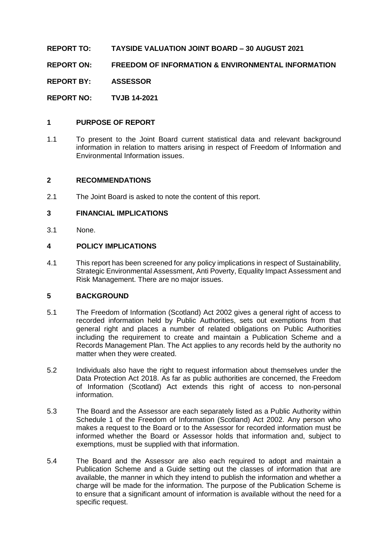**REPORT TO: TAYSIDE VALUATION JOINT BOARD – 30 AUGUST 2021**

**REPORT ON: FREEDOM OF INFORMATION & ENVIRONMENTAL INFORMATION** 

**REPORT BY: ASSESSOR**

**REPORT NO: TVJB 14-2021**

#### **1 PURPOSE OF REPORT**

1.1 To present to the Joint Board current statistical data and relevant background information in relation to matters arising in respect of Freedom of Information and Environmental Information issues.

#### **2 RECOMMENDATIONS**

2.1 The Joint Board is asked to note the content of this report.

#### **3 FINANCIAL IMPLICATIONS**

3.1 None.

#### **4 POLICY IMPLICATIONS**

4.1 This report has been screened for any policy implications in respect of Sustainability, Strategic Environmental Assessment, Anti Poverty, Equality Impact Assessment and Risk Management. There are no major issues.

#### **5 BACKGROUND**

- 5.1 The Freedom of Information (Scotland) Act 2002 gives a general right of access to recorded information held by Public Authorities, sets out exemptions from that general right and places a number of related obligations on Public Authorities including the requirement to create and maintain a Publication Scheme and a Records Management Plan. The Act applies to any records held by the authority no matter when they were created.
- 5.2 Individuals also have the right to request information about themselves under the Data Protection Act 2018. As far as public authorities are concerned, the Freedom of Information (Scotland) Act extends this right of access to non-personal information.
- 5.3 The Board and the Assessor are each separately listed as a Public Authority within Schedule 1 of the Freedom of Information (Scotland) Act 2002. Any person who makes a request to the Board or to the Assessor for recorded information must be informed whether the Board or Assessor holds that information and, subject to exemptions, must be supplied with that information.
- 5.4 The Board and the Assessor are also each required to adopt and maintain a Publication Scheme and a Guide setting out the classes of information that are available, the manner in which they intend to publish the information and whether a charge will be made for the information. The purpose of the Publication Scheme is to ensure that a significant amount of information is available without the need for a specific request.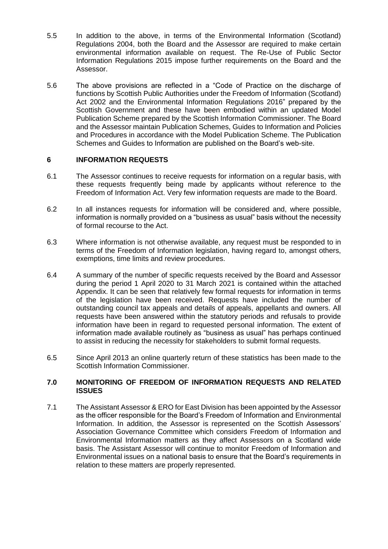- 5.5 In addition to the above, in terms of the Environmental Information (Scotland) Regulations 2004, both the Board and the Assessor are required to make certain environmental information available on request. The Re-Use of Public Sector Information Regulations 2015 impose further requirements on the Board and the Assessor.
- 5.6 The above provisions are reflected in a "Code of Practice on the discharge of functions by Scottish Public Authorities under the Freedom of Information (Scotland) Act 2002 and the Environmental Information Regulations 2016" prepared by the Scottish Government and these have been embodied within an updated Model Publication Scheme prepared by the Scottish Information Commissioner. The Board and the Assessor maintain Publication Schemes, Guides to Information and Policies and Procedures in accordance with the Model Publication Scheme. The Publication Schemes and Guides to Information are published on the Board's web-site.

## **6 INFORMATION REQUESTS**

- 6.1 The Assessor continues to receive requests for information on a regular basis, with these requests frequently being made by applicants without reference to the Freedom of Information Act. Very few information requests are made to the Board.
- 6.2 In all instances requests for information will be considered and, where possible, information is normally provided on a "business as usual" basis without the necessity of formal recourse to the Act.
- 6.3 Where information is not otherwise available, any request must be responded to in terms of the Freedom of Information legislation, having regard to, amongst others, exemptions, time limits and review procedures.
- 6.4 A summary of the number of specific requests received by the Board and Assessor during the period 1 April 2020 to 31 March 2021 is contained within the attached Appendix. It can be seen that relatively few formal requests for information in terms of the legislation have been received. Requests have included the number of outstanding council tax appeals and details of appeals, appellants and owners. All requests have been answered within the statutory periods and refusals to provide information have been in regard to requested personal information. The extent of information made available routinely as "business as usual" has perhaps continued to assist in reducing the necessity for stakeholders to submit formal requests.
- 6.5 Since April 2013 an online quarterly return of these statistics has been made to the Scottish Information Commissioner.

#### **7.0 MONITORING OF FREEDOM OF INFORMATION REQUESTS AND RELATED ISSUES**

7.1 The Assistant Assessor & ERO for East Division has been appointed by the Assessor as the officer responsible for the Board's Freedom of Information and Environmental Information. In addition, the Assessor is represented on the Scottish Assessors' Association Governance Committee which considers Freedom of Information and Environmental Information matters as they affect Assessors on a Scotland wide basis. The Assistant Assessor will continue to monitor Freedom of Information and Environmental issues on a national basis to ensure that the Board's requirements in relation to these matters are properly represented.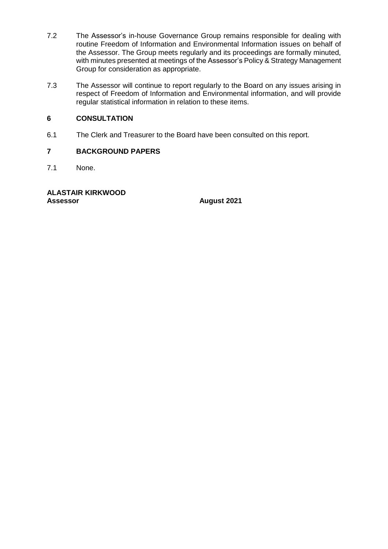- 7.2 The Assessor's in-house Governance Group remains responsible for dealing with routine Freedom of Information and Environmental Information issues on behalf of the Assessor. The Group meets regularly and its proceedings are formally minuted, with minutes presented at meetings of the Assessor's Policy & Strategy Management Group for consideration as appropriate.
- 7.3 The Assessor will continue to report regularly to the Board on any issues arising in respect of Freedom of Information and Environmental information, and will provide regular statistical information in relation to these items.

# **6 CONSULTATION**

6.1 The Clerk and Treasurer to the Board have been consulted on this report.

## **7 BACKGROUND PAPERS**

7.1 None.

# **ALASTAIR KIRKWOOD**

**Assessor August 2021**